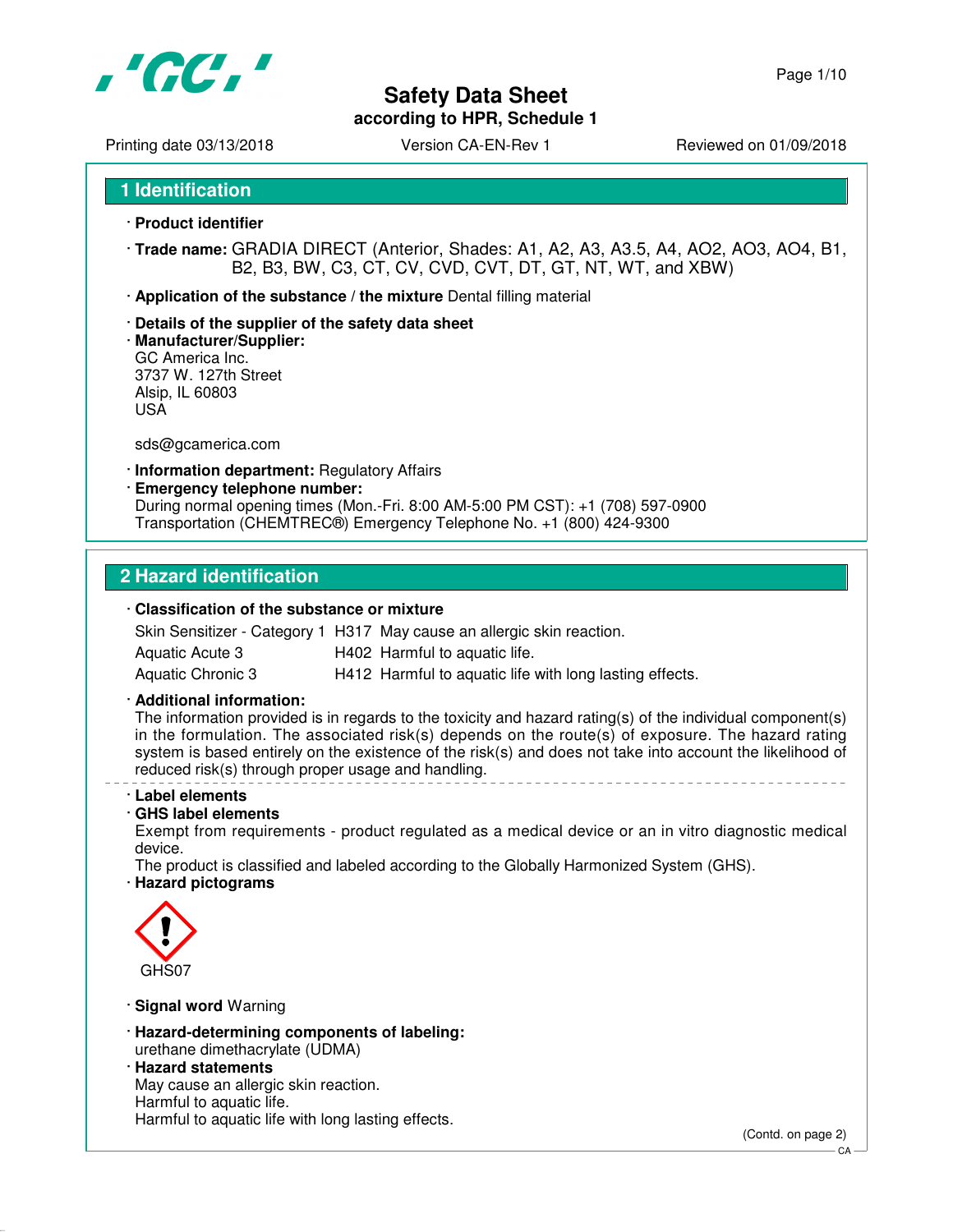

Page 1/10

Printing date 03/13/2018 <br>
Version CA-EN-Rev 1 Reviewed on 01/09/2018

**1 Identification**

- · **Product identifier**
- · **Trade name:** GRADIA DIRECT (Anterior, Shades: A1, A2, A3, A3.5, A4, AO2, AO3, AO4, B1, B2, B3, BW, C3, CT, CV, CVD, CVT, DT, GT, NT, WT, and XBW)
- · **Application of the substance / the mixture** Dental filling material
- · **Details of the supplier of the safety data sheet**
- · **Manufacturer/Supplier:** GC America Inc. 3737 W. 127th Street Alsip, IL 60803 USA

sds@gcamerica.com

- · **Information department:** Regulatory Affairs
- · **Emergency telephone number:**

During normal opening times (Mon.-Fri. 8:00 AM-5:00 PM CST): +1 (708) 597-0900 Transportation (CHEMTREC®) Emergency Telephone No. +1 (800) 424-9300

### **2 Hazard identification**

### · **Classification of the substance or mixture**

|                   | Skin Sensitizer - Category 1 H317 May cause an allergic skin reaction. |
|-------------------|------------------------------------------------------------------------|
| Aquatic Acute 3   | H402 Harmful to aquatic life.                                          |
| Aquatic Chronic 3 | H412 Harmful to aquatic life with long lasting effects.                |

### · **Additional information:**

The information provided is in regards to the toxicity and hazard rating(s) of the individual component(s) in the formulation. The associated risk(s) depends on the route(s) of exposure. The hazard rating system is based entirely on the existence of the risk(s) and does not take into account the likelihood of reduced risk(s) through proper usage and handling.

### · **Label elements**

### · **GHS label elements**

Exempt from requirements - product regulated as a medical device or an in vitro diagnostic medical device.

The product is classified and labeled according to the Globally Harmonized System (GHS).

### · **Hazard pictograms**



- · **Signal word** Warning
- · **Hazard-determining components of labeling:** urethane dimethacrylate (UDMA)
- · **Hazard statements**

May cause an allergic skin reaction. Harmful to aquatic life. Harmful to aquatic life with long lasting effects.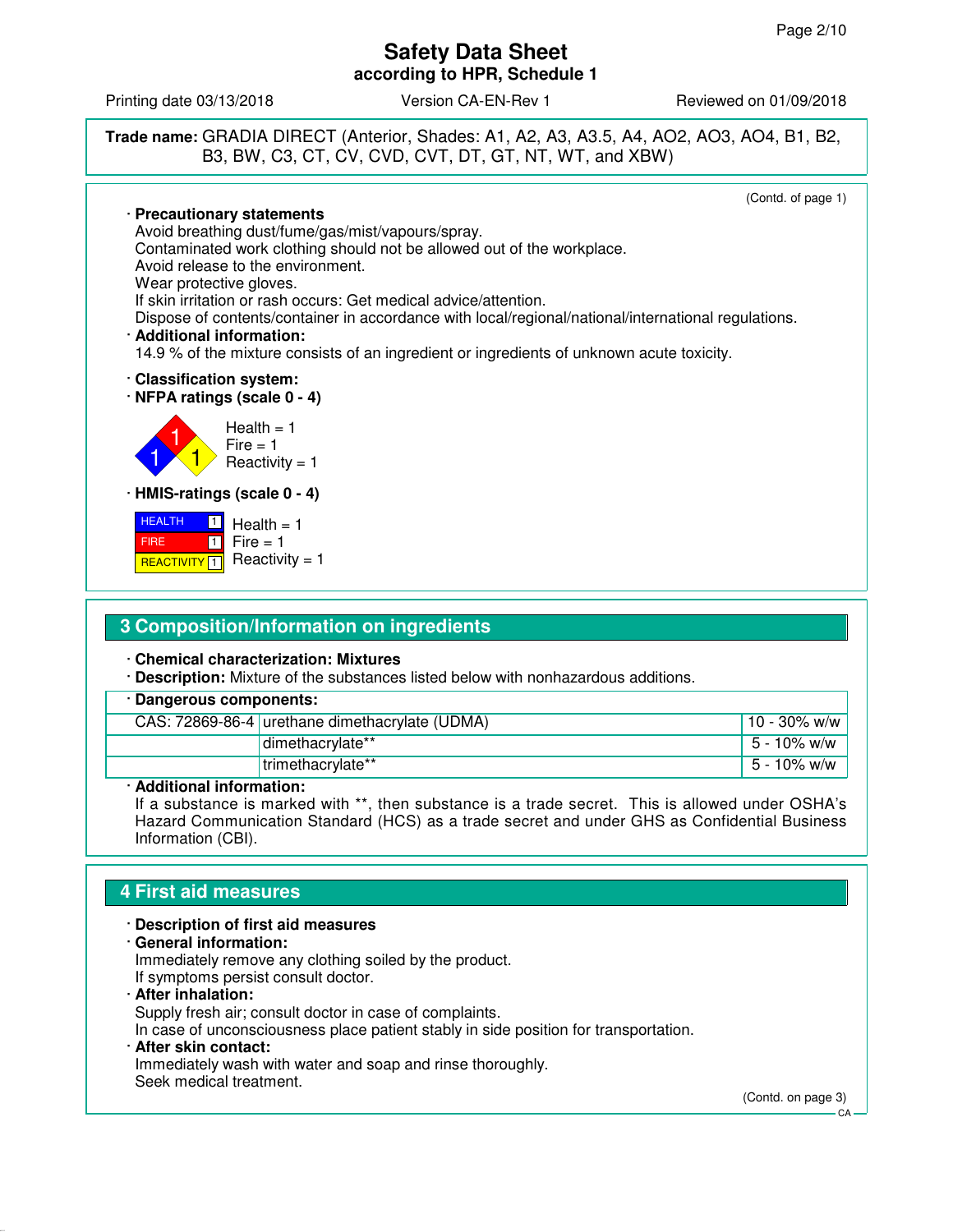Printing date 03/13/2018 **Version CA-EN-Rev 1** Reviewed on 01/09/2018



### **3 Composition/Information on ingredients**

· **Chemical characterization: Mixtures**

· **Description:** Mixture of the substances listed below with nonhazardous additions.

| · Dangerous components: |                                                |                 |
|-------------------------|------------------------------------------------|-----------------|
|                         | CAS: 72869-86-4 urethane dimethacrylate (UDMA) | $10 - 30\%$ w/w |
|                         | dimethacrylate**                               | $15 - 10\%$ w/w |
|                         | trimethacrylate**                              | $15 - 10\%$ w/w |
|                         | . .                                            |                 |

### · **Additional information:**

If a substance is marked with \*\*, then substance is a trade secret. This is allowed under OSHA's Hazard Communication Standard (HCS) as a trade secret and under GHS as Confidential Business Information (CBI).

# **4 First aid measures**

· **Description of first aid measures** · **General information:** Immediately remove any clothing soiled by the product. If symptoms persist consult doctor. · **After inhalation:** Supply fresh air; consult doctor in case of complaints.

In case of unconsciousness place patient stably in side position for transportation.

· **After skin contact:** Immediately wash with water and soap and rinse thoroughly. Seek medical treatment.

(Contd. on page 3)

CA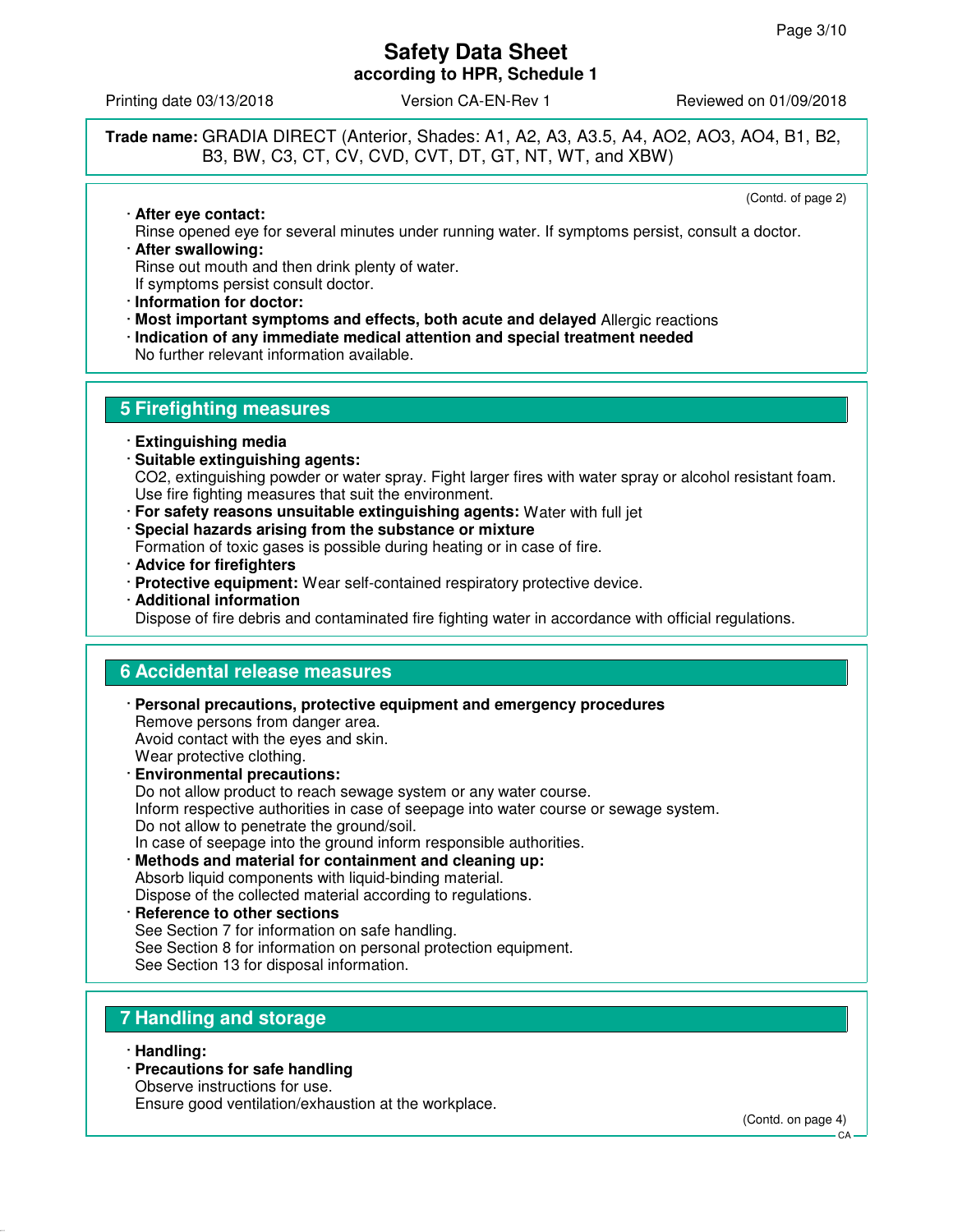Printing date 03/13/2018 **Version CA-EN-Rev 1** Reviewed on 01/09/2018

### **Trade name:** GRADIA DIRECT (Anterior, Shades: A1, A2, A3, A3.5, A4, AO2, AO3, AO4, B1, B2, B3, BW, C3, CT, CV, CVD, CVT, DT, GT, NT, WT, and XBW)

(Contd. of page 2)

· **After eye contact:** Rinse opened eye for several minutes under running water. If symptoms persist, consult a doctor. · **After swallowing:**

Rinse out mouth and then drink plenty of water. If symptoms persist consult doctor.

- · **Information for doctor:**
- · **Most important symptoms and effects, both acute and delayed** Allergic reactions
- · **Indication of any immediate medical attention and special treatment needed**

No further relevant information available.

### **5 Firefighting measures**

- · **Extinguishing media**
- · **Suitable extinguishing agents:** CO2, extinguishing powder or water spray. Fight larger fires with water spray or alcohol resistant foam. Use fire fighting measures that suit the environment.
- · **For safety reasons unsuitable extinguishing agents:** Water with full jet
- · **Special hazards arising from the substance or mixture**
- Formation of toxic gases is possible during heating or in case of fire.
- · **Advice for firefighters**
- · **Protective equipment:** Wear self-contained respiratory protective device.
- · **Additional information**

Dispose of fire debris and contaminated fire fighting water in accordance with official regulations.

### **6 Accidental release measures**

· **Personal precautions, protective equipment and emergency procedures** Remove persons from danger area. Avoid contact with the eyes and skin. Wear protective clothing. · **Environmental precautions:** Do not allow product to reach sewage system or any water course.

Inform respective authorities in case of seepage into water course or sewage system. Do not allow to penetrate the ground/soil.

In case of seepage into the ground inform responsible authorities.

- · **Methods and material for containment and cleaning up:** Absorb liquid components with liquid-binding material. Dispose of the collected material according to regulations.
- · **Reference to other sections** See Section 7 for information on safe handling. See Section 8 for information on personal protection equipment. See Section 13 for disposal information.

# **7 Handling and storage**

- · **Handling:**
- · **Precautions for safe handling**

Observe instructions for use.

Ensure good ventilation/exhaustion at the workplace.

(Contd. on page 4)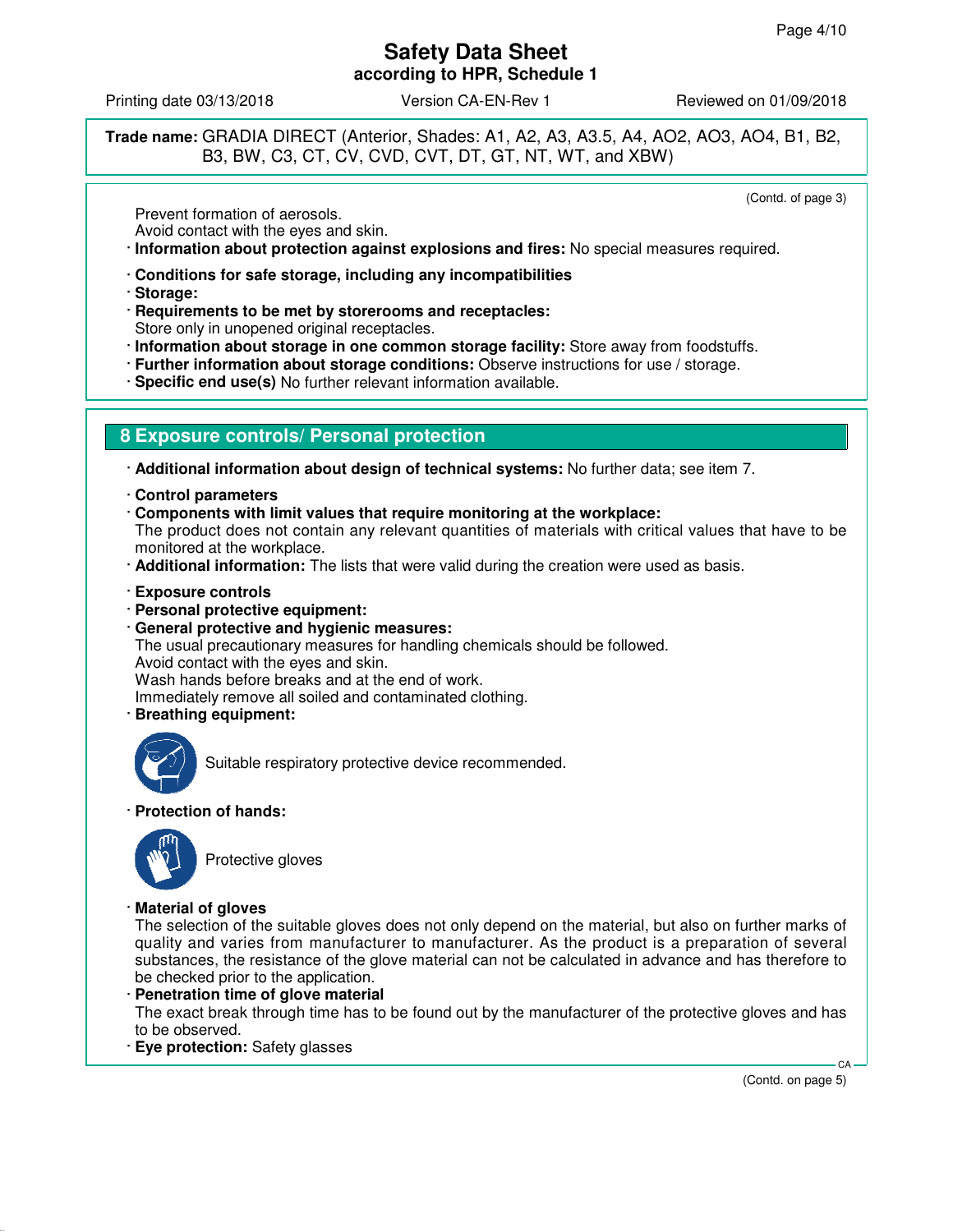Printing date 03/13/2018 **Version CA-EN-Rev 1** Reviewed on 01/09/2018

**Trade name:** GRADIA DIRECT (Anterior, Shades: A1, A2, A3, A3.5, A4, AO2, AO3, AO4, B1, B2, B3, BW, C3, CT, CV, CVD, CVT, DT, GT, NT, WT, and XBW)

(Contd. of page 3)

Prevent formation of aerosols.

Avoid contact with the eyes and skin.

· **Information about protection against explosions and fires:** No special measures required.

- · **Conditions for safe storage, including any incompatibilities**
- · **Storage:**
- · **Requirements to be met by storerooms and receptacles:** Store only in unopened original receptacles.
- · **Information about storage in one common storage facility:** Store away from foodstuffs.
- · **Further information about storage conditions:** Observe instructions for use / storage.
- · **Specific end use(s)** No further relevant information available.

# **8 Exposure controls/ Personal protection**

· **Additional information about design of technical systems:** No further data; see item 7.

- · **Control parameters**
- · **Components with limit values that require monitoring at the workplace:**

The product does not contain any relevant quantities of materials with critical values that have to be monitored at the workplace.

- · **Additional information:** The lists that were valid during the creation were used as basis.
- · **Exposure controls**
- · **Personal protective equipment:**
- · **General protective and hygienic measures:** The usual precautionary measures for handling chemicals should be followed. Avoid contact with the eyes and skin. Wash hands before breaks and at the end of work. Immediately remove all soiled and contaminated clothing.
- · **Breathing equipment:**



Suitable respiratory protective device recommended.

· **Protection of hands:**



Protective gloves

· **Material of gloves**

The selection of the suitable gloves does not only depend on the material, but also on further marks of quality and varies from manufacturer to manufacturer. As the product is a preparation of several substances, the resistance of the glove material can not be calculated in advance and has therefore to be checked prior to the application.

- · **Penetration time of glove material** The exact break through time has to be found out by the manufacturer of the protective gloves and has to be observed.
- · **Eye protection:** Safety glasses

(Contd. on page 5)

CA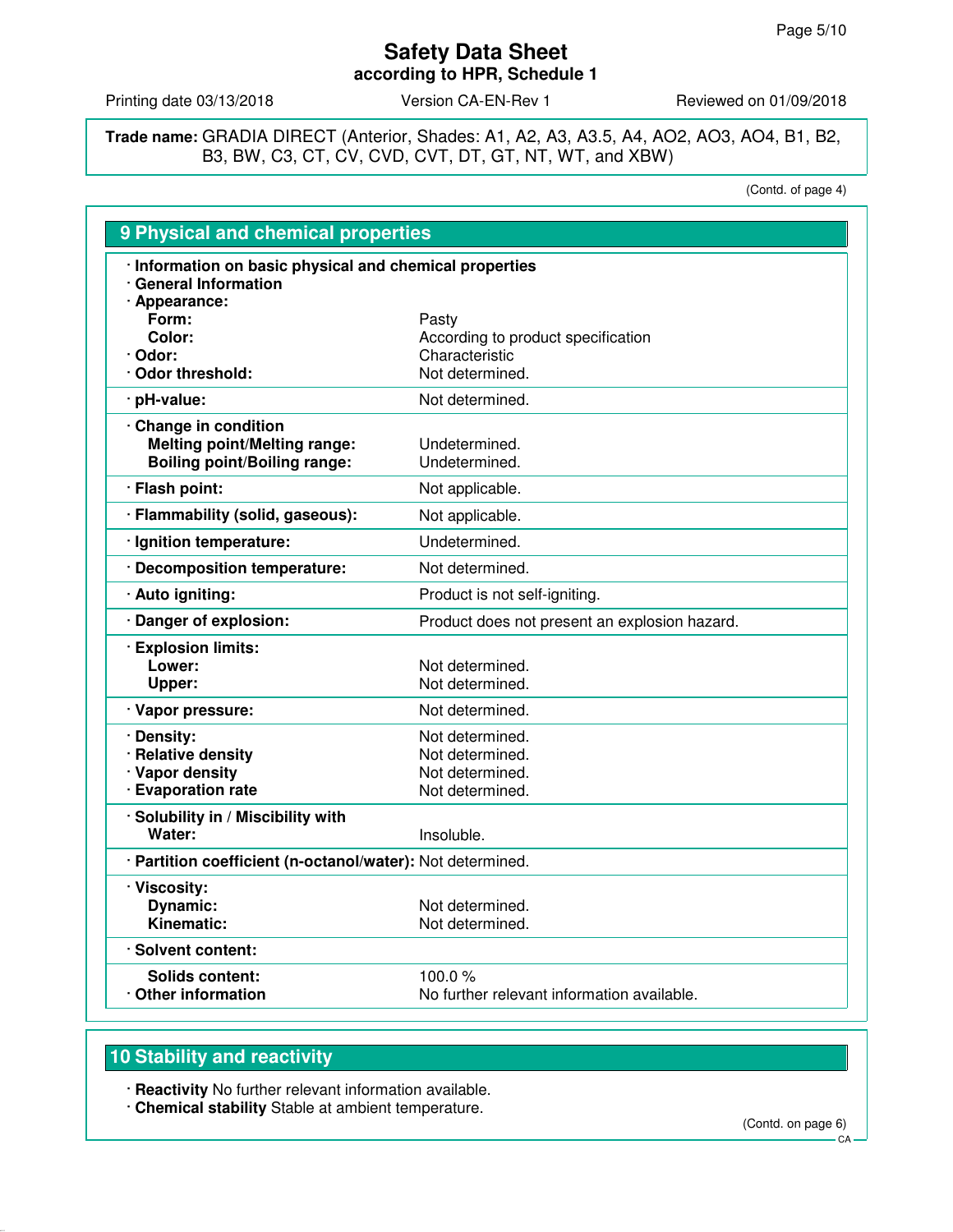Printing date 03/13/2018 Version CA-EN-Rev 1 Reviewed on 01/09/2018

**Trade name:** GRADIA DIRECT (Anterior, Shades: A1, A2, A3, A3.5, A4, AO2, AO3, AO4, B1, B2, B3, BW, C3, CT, CV, CVD, CVT, DT, GT, NT, WT, and XBW)

(Contd. of page 4)

| 9 Physical and chemical properties                                                                |                                               |
|---------------------------------------------------------------------------------------------------|-----------------------------------------------|
| · Information on basic physical and chemical properties<br>· General Information<br>· Appearance: |                                               |
| Form:                                                                                             | Pasty                                         |
| Color:                                                                                            | According to product specification            |
| · Odor:                                                                                           | Characteristic                                |
| Odor threshold:                                                                                   | Not determined.                               |
| · pH-value:                                                                                       | Not determined.                               |
| Change in condition                                                                               |                                               |
| <b>Melting point/Melting range:</b>                                                               | Undetermined.                                 |
| <b>Boiling point/Boiling range:</b>                                                               | Undetermined.                                 |
| · Flash point:                                                                                    | Not applicable.                               |
| · Flammability (solid, gaseous):                                                                  | Not applicable.                               |
| · Ignition temperature:                                                                           | Undetermined.                                 |
| · Decomposition temperature:                                                                      | Not determined.                               |
| · Auto igniting:                                                                                  | Product is not self-igniting.                 |
| · Danger of explosion:                                                                            | Product does not present an explosion hazard. |
| · Explosion limits:                                                                               |                                               |
| Lower:                                                                                            | Not determined.                               |
| Upper:                                                                                            | Not determined.                               |
| · Vapor pressure:                                                                                 | Not determined.                               |
| · Density:                                                                                        | Not determined.                               |
| · Relative density                                                                                | Not determined.                               |
| · Vapor density                                                                                   | Not determined.                               |
| · Evaporation rate                                                                                | Not determined.                               |
| · Solubility in / Miscibility with                                                                |                                               |
| Water:                                                                                            | Insoluble.                                    |
| · Partition coefficient (n-octanol/water): Not determined.                                        |                                               |
| · Viscosity:                                                                                      |                                               |
| <b>Dynamic:</b>                                                                                   | Not determined.                               |
| Kinematic:                                                                                        | Not determined.                               |
| · Solvent content:                                                                                |                                               |
| <b>Solids content:</b>                                                                            | 100.0 $%$                                     |
| Other information                                                                                 | No further relevant information available.    |

# **10 Stability and reactivity**

· **Reactivity** No further relevant information available.

· **Chemical stability** Stable at ambient temperature.

(Contd. on page 6)

**CA**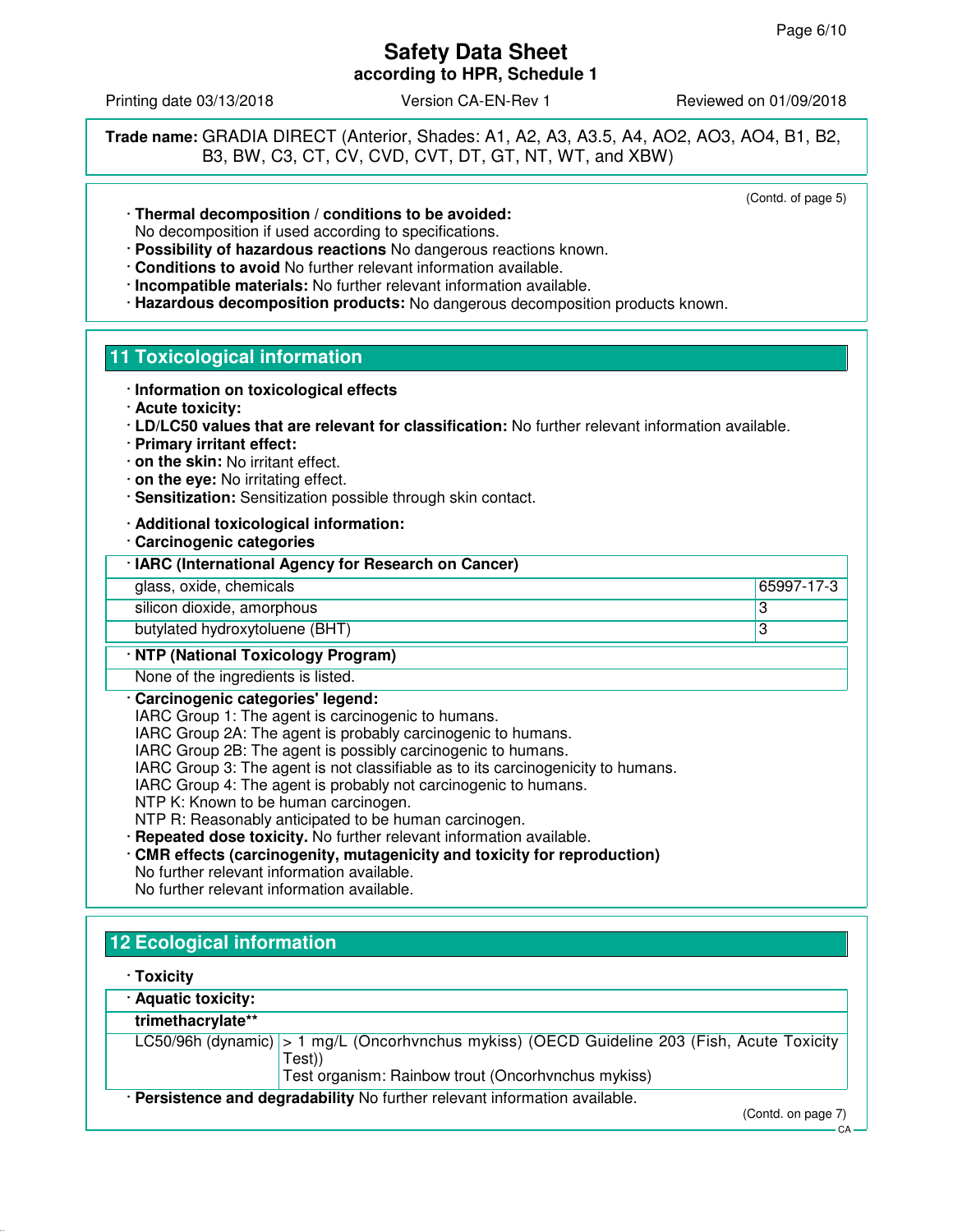Printing date 03/13/2018 Version CA-EN-Rev 1 Reviewed on 01/09/2018

**Trade name:** GRADIA DIRECT (Anterior, Shades: A1, A2, A3, A3.5, A4, AO2, AO3, AO4, B1, B2, B3, BW, C3, CT, CV, CVD, CVT, DT, GT, NT, WT, and XBW)

(Contd. of page 5)

CA

- · **Thermal decomposition / conditions to be avoided:** No decomposition if used according to specifications.
- · **Possibility of hazardous reactions** No dangerous reactions known.
- · **Conditions to avoid** No further relevant information available.
- · **Incompatible materials:** No further relevant information available.
- · **Hazardous decomposition products:** No dangerous decomposition products known.

# **11 Toxicological information**

- · **Information on toxicological effects**
- · **Acute toxicity:**
- · **LD/LC50 values that are relevant for classification:** No further relevant information available.
- · **Primary irritant effect:**
- · **on the skin:** No irritant effect.
- · **on the eye:** No irritating effect.
- · **Sensitization:** Sensitization possible through skin contact.
- · **Additional toxicological information:**
- · **Carcinogenic categories**

| · IARC (International Agency for Research on Cancer) |  |
|------------------------------------------------------|--|
|------------------------------------------------------|--|

glass, oxide, chemicals 65997-17-3

silicon dioxide, amorphous 33

butylated hydroxytoluene (BHT) 3

### · **NTP (National Toxicology Program)**

None of the ingredients is listed.

### · **Carcinogenic categories' legend:**

IARC Group 1: The agent is carcinogenic to humans.

- IARC Group 2A: The agent is probably carcinogenic to humans.
- IARC Group 2B: The agent is possibly carcinogenic to humans.
- IARC Group 3: The agent is not classifiable as to its carcinogenicity to humans.
- IARC Group 4: The agent is probably not carcinogenic to humans.
- NTP K: Known to be human carcinogen.

NTP R: Reasonably anticipated to be human carcinogen.

- · **Repeated dose toxicity.** No further relevant information available.
- · **CMR effects (carcinogenity, mutagenicity and toxicity for reproduction)** No further relevant information available.
- No further relevant information available.

# **12 Ecological information**

| · Aquatic toxicity: |                                                                                                       |
|---------------------|-------------------------------------------------------------------------------------------------------|
| trimethacrylate**   |                                                                                                       |
|                     | LC50/96h (dynamic) > 1 mg/L (Oncorhvnchus mykiss) (OECD Guideline 203 (Fish, Acute Toxicity<br>Test)) |
|                     | Test organism: Rainbow trout (Oncorhvnchus mykiss)                                                    |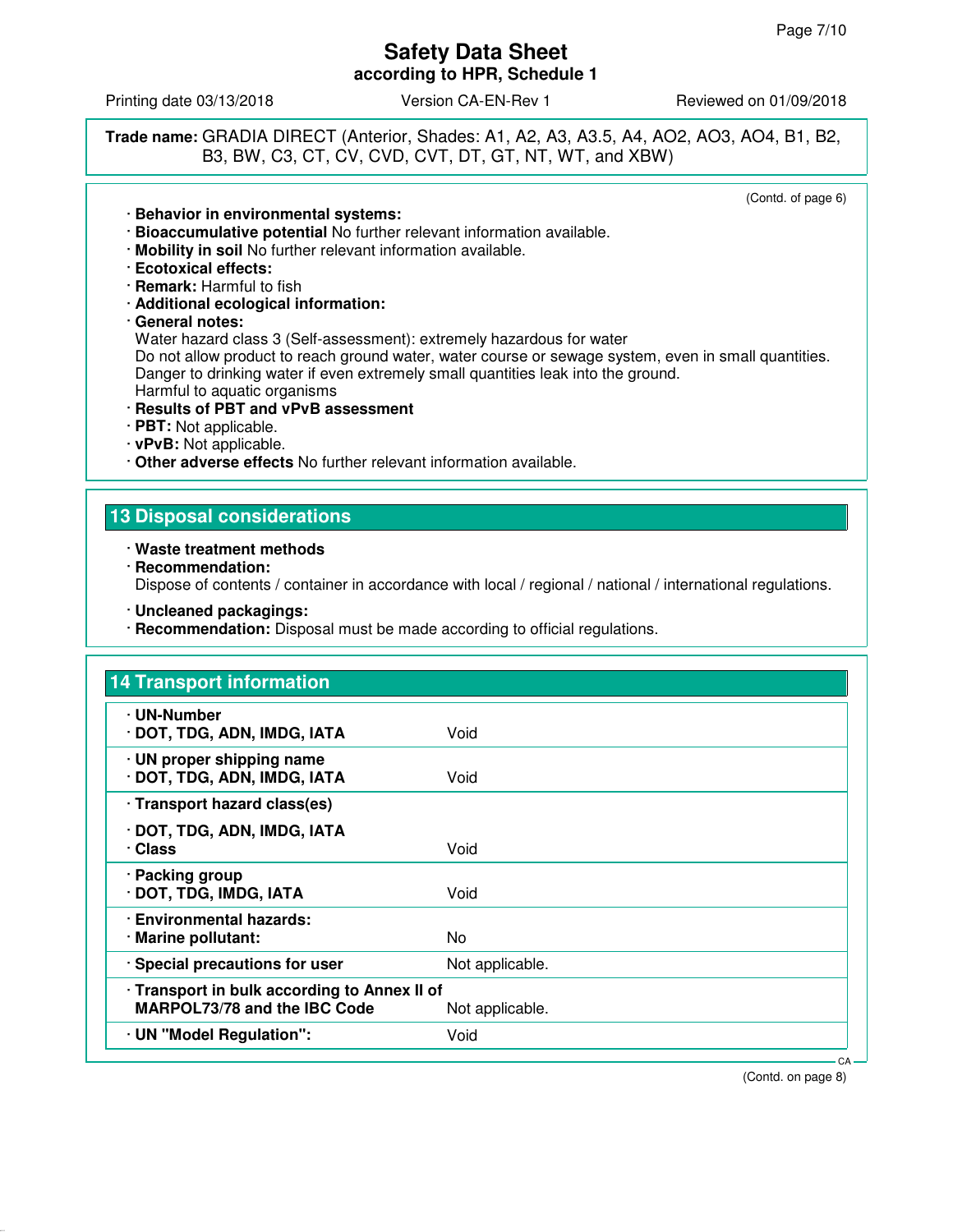Printing date 03/13/2018 **Version CA-EN-Rev 1** Reviewed on 01/09/2018

**Trade name:** GRADIA DIRECT (Anterior, Shades: A1, A2, A3, A3.5, A4, AO2, AO3, AO4, B1, B2, B3, BW, C3, CT, CV, CVD, CVT, DT, GT, NT, WT, and XBW)

(Contd. of page 6)

### · **Behavior in environmental systems:**

- · **Bioaccumulative potential** No further relevant information available.
- · **Mobility in soil** No further relevant information available.
- · **Ecotoxical effects:**
- · **Remark:** Harmful to fish
- · **Additional ecological information:**
- · **General notes:**

Water hazard class 3 (Self-assessment): extremely hazardous for water

Do not allow product to reach ground water, water course or sewage system, even in small quantities. Danger to drinking water if even extremely small quantities leak into the ground. Harmful to aquatic organisms

### · **Results of PBT and vPvB assessment**

- · **PBT:** Not applicable.
- · **vPvB:** Not applicable.

· **Other adverse effects** No further relevant information available.

### **13 Disposal considerations**

- · **Waste treatment methods**
- · **Recommendation:** Dispose of contents / container in accordance with local / regional / national / international regulations.
- · **Uncleaned packagings:**
- · **Recommendation:** Disposal must be made according to official regulations.

| <b>14 Transport information</b>                                                     |                 |  |
|-------------------------------------------------------------------------------------|-----------------|--|
| · UN-Number<br>· DOT, TDG, ADN, IMDG, IATA                                          | Void            |  |
| · UN proper shipping name<br>· DOT, TDG, ADN, IMDG, IATA                            | Void            |  |
| · Transport hazard class(es)                                                        |                 |  |
| · DOT, TDG, ADN, IMDG, IATA<br>· Class                                              | Void            |  |
| · Packing group<br>· DOT, TDG, IMDG, IATA                                           | Void            |  |
| · Environmental hazards:<br>· Marine pollutant:                                     | No              |  |
| · Special precautions for user                                                      | Not applicable. |  |
| · Transport in bulk according to Annex II of<br><b>MARPOL73/78 and the IBC Code</b> | Not applicable. |  |
| · UN "Model Regulation":                                                            | Void            |  |

(Contd. on page 8)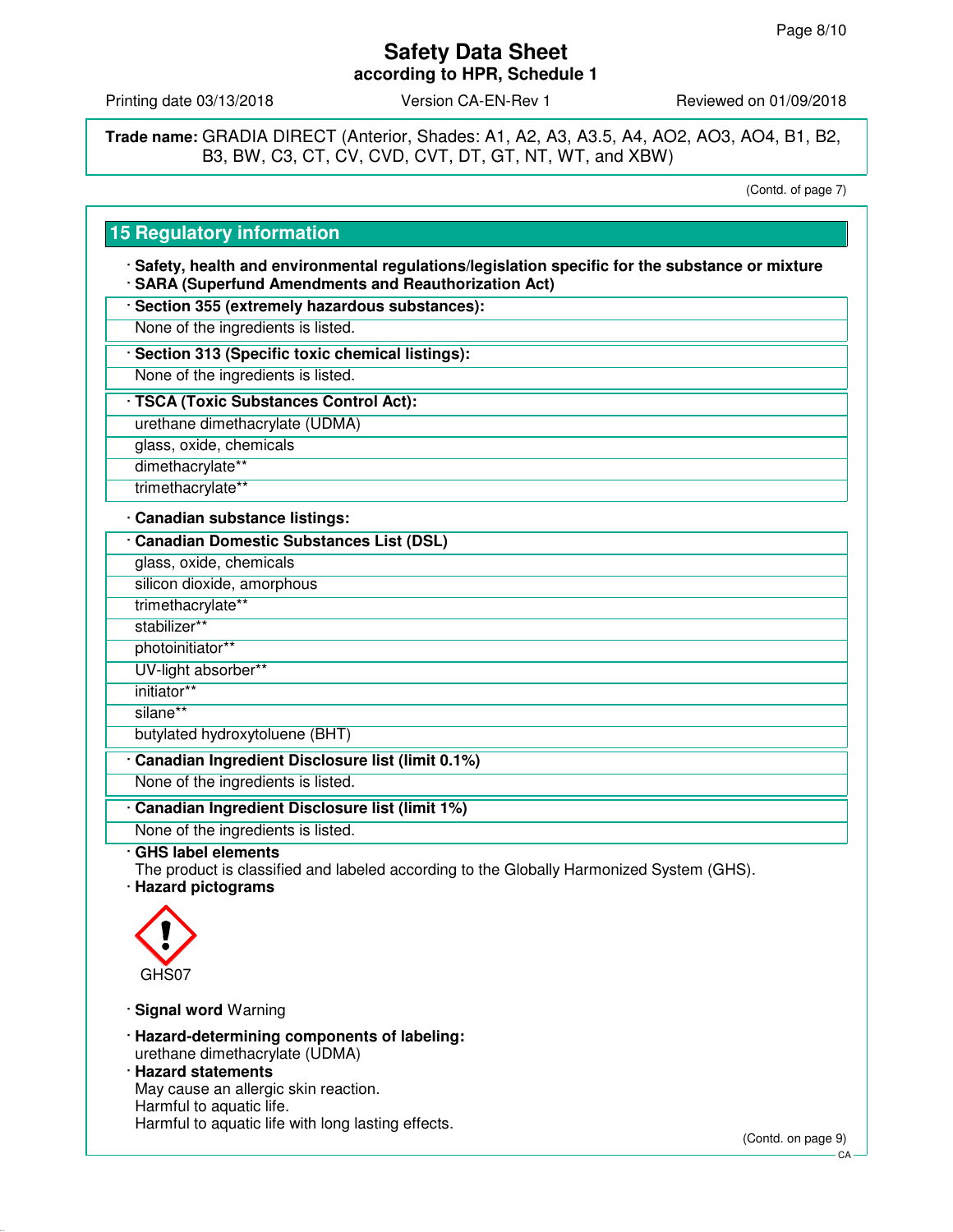Printing date 03/13/2018 **Version CA-EN-Rev 1** Reviewed on 01/09/2018

**Trade name:** GRADIA DIRECT (Anterior, Shades: A1, A2, A3, A3.5, A4, AO2, AO3, AO4, B1, B2, B3, BW, C3, CT, CV, CVD, CVT, DT, GT, NT, WT, and XBW)

(Contd. of page 7)

### **15 Regulatory information**

· **Safety, health and environmental regulations/legislation specific for the substance or mixture** · **SARA (Superfund Amendments and Reauthorization Act)**

- · **Section 355 (extremely hazardous substances):**
- None of the ingredients is listed.
- · **Section 313 (Specific toxic chemical listings):**
- None of the ingredients is listed.
- · **TSCA (Toxic Substances Control Act):**
- urethane dimethacrylate (UDMA)
- glass, oxide, chemicals
- dimethacrylate\*\*
- trimethacrylate\*\*

### · **Canadian substance listings:**

- · **Canadian Domestic Substances List (DSL)**
- glass, oxide, chemicals
- silicon dioxide, amorphous
- trimethacrylate\*\*
- stabilizer\*\*
- photoinitiator\*\*
- UV-light absorber\*\*
- initiator\*\*
- silane\*\*
- butylated hydroxytoluene (BHT)
- · **Canadian Ingredient Disclosure list (limit 0.1%)**
- None of the ingredients is listed.
- · **Canadian Ingredient Disclosure list (limit 1%)**
- None of the ingredients is listed.
- · **GHS label elements**
- The product is classified and labeled according to the Globally Harmonized System (GHS).
- · **Hazard pictograms**



- · **Signal word** Warning
- · **Hazard-determining components of labeling:** urethane dimethacrylate (UDMA)
- · **Hazard statements** May cause an allergic skin reaction. Harmful to aquatic life. Harmful to aquatic life with long lasting effects.

(Contd. on page 9)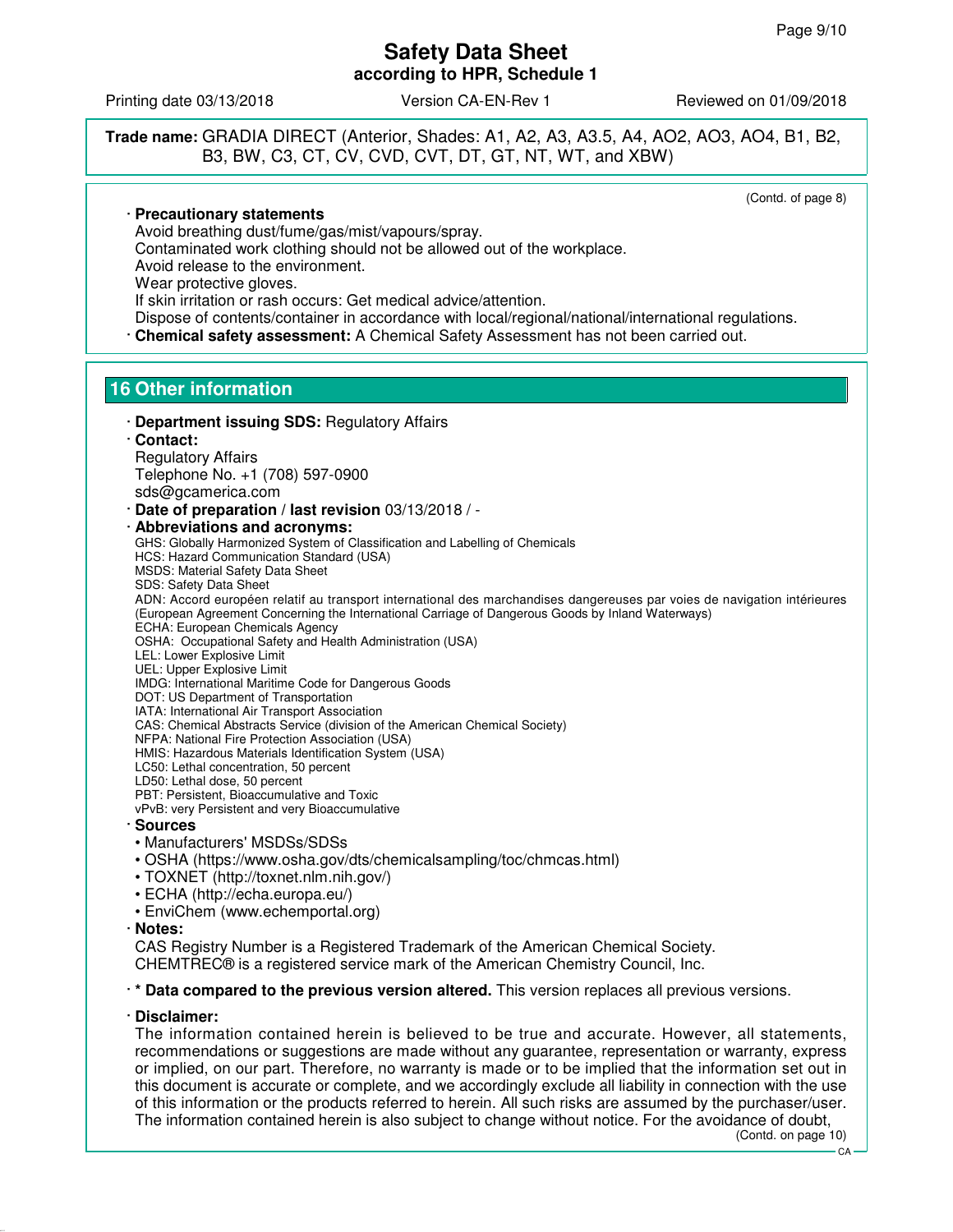Printing date 03/13/2018 **Version CA-EN-Rev 1** Reviewed on 01/09/2018

**Trade name:** GRADIA DIRECT (Anterior, Shades: A1, A2, A3, A3.5, A4, AO2, AO3, AO4, B1, B2, B3, BW, C3, CT, CV, CVD, CVT, DT, GT, NT, WT, and XBW)

(Contd. of page 8)

· **Precautionary statements**

Avoid breathing dust/fume/gas/mist/vapours/spray.

Contaminated work clothing should not be allowed out of the workplace. Avoid release to the environment.

Wear protective gloves.

If skin irritation or rash occurs: Get medical advice/attention.

Dispose of contents/container in accordance with local/regional/national/international regulations. · **Chemical safety assessment:** A Chemical Safety Assessment has not been carried out.

# **16 Other information**

· **Department issuing SDS:** Regulatory Affairs · **Contact:**

Regulatory Affairs Telephone No. +1 (708) 597-0900

sds@gcamerica.com

· **Date of preparation / last revision** 03/13/2018 / -

· **Abbreviations and acronyms:**

GHS: Globally Harmonized System of Classification and Labelling of Chemicals HCS: Hazard Communication Standard (USA) MSDS: Material Safety Data Sheet

SDS: Safety Data Sheet

ADN: Accord européen relatif au transport international des marchandises dangereuses par voies de navigation intérieures (European Agreement Concerning the International Carriage of Dangerous Goods by Inland Waterways) ECHA: European Chemicals Agency

OSHA: Occupational Safety and Health Administration (USA)

LEL: Lower Explosive Limit

UEL: Upper Explosive Limit

IMDG: International Maritime Code for Dangerous Goods

DOT: US Department of Transportation

IATA: International Air Transport Association

CAS: Chemical Abstracts Service (division of the American Chemical Society)

NFPA: National Fire Protection Association (USA)

HMIS: Hazardous Materials Identification System (USA)

LC50: Lethal concentration, 50 percent

LD50: Lethal dose, 50 percent

PBT: Persistent, Bioaccumulative and Toxic

vPvB: very Persistent and very Bioaccumulative

- · **Sources**
- Manufacturers' MSDSs/SDSs
- OSHA (https://www.osha.gov/dts/chemicalsampling/toc/chmcas.html)
- TOXNET (http://toxnet.nlm.nih.gov/)
- ECHA (http://echa.europa.eu/)
- EnviChem (www.echemportal.org)
- · **Notes:**

CAS Registry Number is a Registered Trademark of the American Chemical Society. CHEMTREC® is a registered service mark of the American Chemistry Council, Inc.

· **\* Data compared to the previous version altered.** This version replaces all previous versions.

### · **Disclaimer:**

The information contained herein is believed to be true and accurate. However, all statements, recommendations or suggestions are made without any guarantee, representation or warranty, express or implied, on our part. Therefore, no warranty is made or to be implied that the information set out in this document is accurate or complete, and we accordingly exclude all liability in connection with the use of this information or the products referred to herein. All such risks are assumed by the purchaser/user. The information contained herein is also subject to change without notice. For the avoidance of doubt,